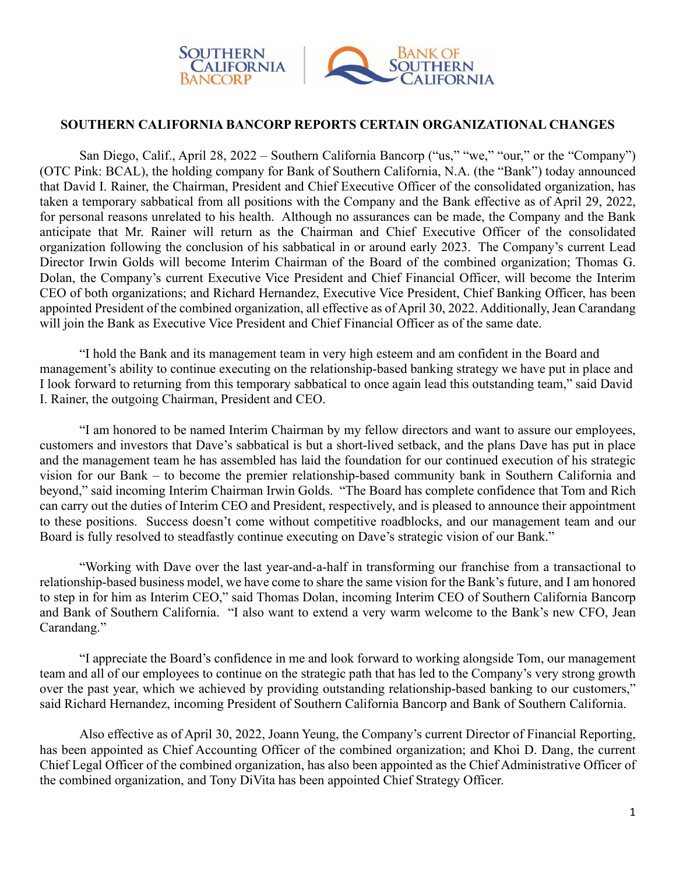

## **SOUTHERN CALIFORNIA BANCORP REPORTS CERTAIN ORGANIZATIONAL CHANGES**

San Diego, Calif., April 28, 2022 – Southern California Bancorp ("us," "we," "our," or the "Company") (OTC Pink: BCAL), the holding company for Bank of Southern California, N.A. (the "Bank") today announced that David I. Rainer, the Chairman, President and Chief Executive Officer of the consolidated organization, has taken a temporary sabbatical from all positions with the Company and the Bank effective as of April 29, 2022, for personal reasons unrelated to his health. Although no assurances can be made, the Company and the Bank anticipate that Mr. Rainer will return as the Chairman and Chief Executive Officer of the consolidated organization following the conclusion of his sabbatical in or around early 2023. The Company's current Lead Director Irwin Golds will become Interim Chairman of the Board of the combined organization; Thomas G. Dolan, the Company's current Executive Vice President and Chief Financial Officer, will become the Interim CEO of both organizations; and Richard Hernandez, Executive Vice President, Chief Banking Officer, has been appointed President of the combined organization, all effective as of April 30, 2022. Additionally, Jean Carandang will join the Bank as Executive Vice President and Chief Financial Officer as of the same date.

"I hold the Bank and its management team in very high esteem and am confident in the Board and management's ability to continue executing on the relationship-based banking strategy we have put in place and I look forward to returning from this temporary sabbatical to once again lead this outstanding team," said David I. Rainer, the outgoing Chairman, President and CEO.

"I am honored to be named Interim Chairman by my fellow directors and want to assure our employees, customers and investors that Dave's sabbatical is but a short-lived setback, and the plans Dave has put in place and the management team he has assembled has laid the foundation for our continued execution of his strategic vision for our Bank – to become the premier relationship-based community bank in Southern California and beyond," said incoming Interim Chairman Irwin Golds. "The Board has complete confidence that Tom and Rich can carry out the duties of Interim CEO and President, respectively, and is pleased to announce their appointment to these positions. Success doesn't come without competitive roadblocks, and our management team and our Board is fully resolved to steadfastly continue executing on Dave's strategic vision of our Bank."

"Working with Dave over the last year-and-a-half in transforming our franchise from a transactional to relationship-based business model, we have come to share the same vision for the Bank's future, and I am honored to step in for him as Interim CEO," said Thomas Dolan, incoming Interim CEO of Southern California Bancorp and Bank of Southern California. "I also want to extend a very warm welcome to the Bank's new CFO, Jean Carandang."

"I appreciate the Board's confidence in me and look forward to working alongside Tom, our management team and all of our employees to continue on the strategic path that has led to the Company's very strong growth over the past year, which we achieved by providing outstanding relationship-based banking to our customers," said Richard Hernandez, incoming President of Southern California Bancorp and Bank of Southern California.

Also effective as of April 30, 2022, Joann Yeung, the Company's current Director of Financial Reporting, has been appointed as Chief Accounting Officer of the combined organization; and Khoi D. Dang, the current Chief Legal Officer of the combined organization, has also been appointed as the Chief Administrative Officer of the combined organization, and Tony DiVita has been appointed Chief Strategy Officer.